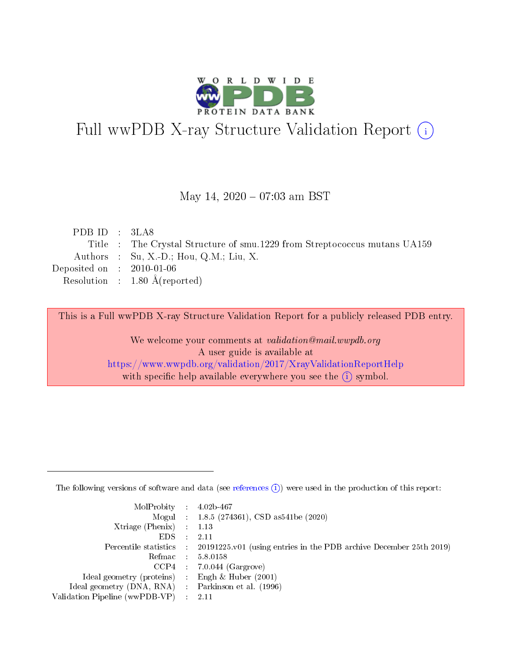

# Full wwPDB X-ray Structure Validation Report (i)

#### May 14,  $2020 - 07:03$  am BST

| PDB ID : $3LAS$             |                                                                           |
|-----------------------------|---------------------------------------------------------------------------|
|                             | Title : The Crystal Structure of smu.1229 from Streptococcus mutans UA159 |
|                             | Authors : Su, X.-D.; Hou, Q.M.; Liu, X.                                   |
| Deposited on : $2010-01-06$ |                                                                           |
|                             | Resolution : $1.80 \text{ Å}$ (reported)                                  |
|                             |                                                                           |

This is a Full wwPDB X-ray Structure Validation Report for a publicly released PDB entry.

We welcome your comments at validation@mail.wwpdb.org A user guide is available at <https://www.wwpdb.org/validation/2017/XrayValidationReportHelp> with specific help available everywhere you see the  $(i)$  symbol.

The following versions of software and data (see [references](https://www.wwpdb.org/validation/2017/XrayValidationReportHelp#references)  $(1)$ ) were used in the production of this report:

| MolProbity : $4.02b-467$                            |                                                                                            |
|-----------------------------------------------------|--------------------------------------------------------------------------------------------|
|                                                     | Mogul : $1.8.5$ (274361), CSD as 541be (2020)                                              |
| $Xtriangle (Phenix)$ : 1.13                         |                                                                                            |
| $EDS$ :                                             | -2.11                                                                                      |
|                                                     | Percentile statistics : 20191225.v01 (using entries in the PDB archive December 25th 2019) |
| Refmac : 5.8.0158                                   |                                                                                            |
|                                                     | $CCP4$ 7.0.044 (Gargrove)                                                                  |
| Ideal geometry (proteins) : Engh $\&$ Huber (2001)  |                                                                                            |
| Ideal geometry (DNA, RNA) : Parkinson et al. (1996) |                                                                                            |
| Validation Pipeline (wwPDB-VP) : 2.11               |                                                                                            |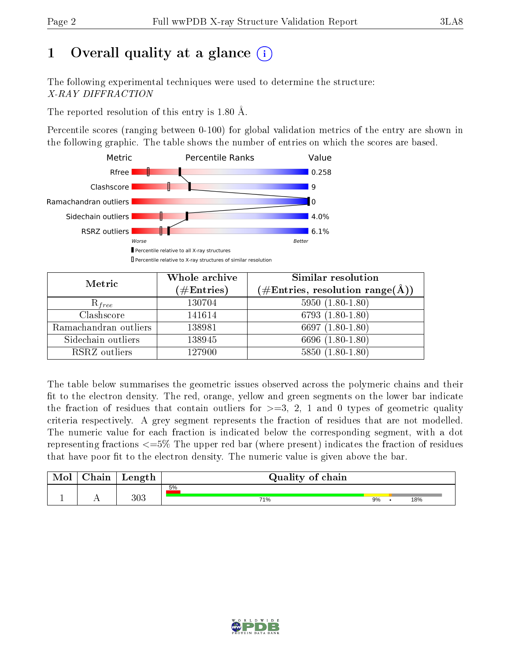# 1 [O](https://www.wwpdb.org/validation/2017/XrayValidationReportHelp#overall_quality)verall quality at a glance  $(i)$

The following experimental techniques were used to determine the structure: X-RAY DIFFRACTION

The reported resolution of this entry is 1.80 Å.

Percentile scores (ranging between 0-100) for global validation metrics of the entry are shown in the following graphic. The table shows the number of entries on which the scores are based.



| Metric                | Whole archive<br>$(\#\mathrm{Entries})$ | Similar resolution<br>$(\#\text{Entries},\,\text{resolution}\,\,\text{range}(\textup{\AA}))$ |
|-----------------------|-----------------------------------------|----------------------------------------------------------------------------------------------|
| $R_{free}$            | 130704                                  | $5950(1.80-1.80)$                                                                            |
| Clashscore            | 141614                                  | $6793(1.80-1.80)$                                                                            |
| Ramachandran outliers | 138981                                  | 6697 $(1.80-1.80)$                                                                           |
| Sidechain outliers    | 138945                                  | 6696 (1.80-1.80)                                                                             |
| RSRZ outliers         | 127900                                  | $5850(1.80-1.80)$                                                                            |

The table below summarises the geometric issues observed across the polymeric chains and their fit to the electron density. The red, orange, yellow and green segments on the lower bar indicate the fraction of residues that contain outliers for  $>=3, 2, 1$  and 0 types of geometric quality criteria respectively. A grey segment represents the fraction of residues that are not modelled. The numeric value for each fraction is indicated below the corresponding segment, with a dot representing fractions  $\epsilon=5\%$  The upper red bar (where present) indicates the fraction of residues that have poor fit to the electron density. The numeric value is given above the bar.

| Mol           | $\gamma$ hain | Length | Quality of chain |    |  |     |  |
|---------------|---------------|--------|------------------|----|--|-----|--|
|               |               |        | 5%               |    |  |     |  |
| <u>. на п</u> | . .           | 303    | 71%              | 9% |  | 18% |  |

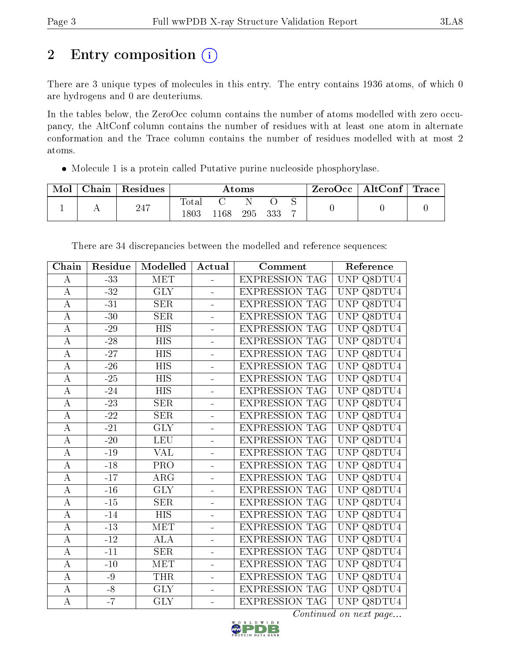# 2 Entry composition (i)

There are 3 unique types of molecules in this entry. The entry contains 1936 atoms, of which 0 are hydrogens and 0 are deuteriums.

In the tables below, the ZeroOcc column contains the number of atoms modelled with zero occupancy, the AltConf column contains the number of residues with at least one atom in alternate conformation and the Trace column contains the number of residues modelled with at most 2 atoms.

Molecule 1 is a protein called Putative purine nucleoside phosphorylase.

| Mol | ${\rm Chain}$ | Residues | Atoms                  |     |     |     | $\rm ZeroOcc \mid AltConf \mid Trace$ |  |  |
|-----|---------------|----------|------------------------|-----|-----|-----|---------------------------------------|--|--|
|     |               | 247      | $\text{Total}$<br>1803 | 168 | 295 | 333 |                                       |  |  |

| Chain              | Residue      | Modelled                | Actual                   | Comment               | Reference                       |
|--------------------|--------------|-------------------------|--------------------------|-----------------------|---------------------------------|
| $\bf{A}$           | $-33$        | MET                     | ÷,                       | <b>EXPRESSION TAG</b> | UNP Q8DTU4                      |
| $\bf{A}$           | $-32$        | <b>GLY</b>              |                          | <b>EXPRESSION TAG</b> | UNP Q8DTU4                      |
| $\bf{A}$           | $-31$        | <b>SER</b>              | ÷,                       | <b>EXPRESSION TAG</b> | UNP Q8DTU4                      |
| $\bf{A}$           | $-30$        | <b>SER</b>              | $\equiv$                 | <b>EXPRESSION TAG</b> | <b>UNP</b><br>$\textsf{Q8DTU4}$ |
| $\overline{\rm A}$ | $-29$        | <b>HIS</b>              |                          | <b>EXPRESSION TAG</b> | UNP Q8DTU4                      |
| $\bf{A}$           | $-28$        | <b>HIS</b>              | ÷,                       | <b>EXPRESSION TAG</b> | UNP Q8DTU4                      |
| $\overline{A}$     | $-27$        | $\overline{HIS}$        | $\blacksquare$           | <b>EXPRESSION TAG</b> | <b>UNP</b><br>$\textsf{Q8DTU4}$ |
| $\overline{A}$     | $-26$        | $\overline{HIS}$        |                          | <b>EXPRESSION TAG</b> | UNP Q8DTU4                      |
| $\overline{A}$     | $-25$        | <b>HIS</b>              | L,                       | <b>EXPRESSION TAG</b> | UNP Q8DTU4                      |
| $\overline{A}$     | $-24$        | $\overline{HIS}$        | ÷,                       | <b>EXPRESSION TAG</b> | UNP Q8DTU4                      |
| $\bf{A}$           | $-23$        | <b>SER</b>              |                          | <b>EXPRESSION TAG</b> | UNP Q8DTU4                      |
| $\overline{A}$     | $-22$        | SER                     | $\overline{\phantom{0}}$ | <b>EXPRESSION TAG</b> | UNP Q8DTU4                      |
| $\bf{A}$           | $-21$        | <b>GLY</b>              | $\overline{\phantom{0}}$ | <b>EXPRESSION TAG</b> | UNP Q8DTU4                      |
| $\mathbf A$        | $-20$        | <b>LEU</b>              |                          | <b>EXPRESSION TAG</b> | UNP Q8DTU4                      |
| $\overline{A}$     | $-19$        | <b>VAL</b>              | $\overline{\phantom{0}}$ | <b>EXPRESSION TAG</b> | UNP Q8DTU4                      |
| $\bf{A}$           | $-18$        | PRO                     | ÷                        | <b>EXPRESSION TAG</b> | UNP Q8DTU4                      |
| $\overline{A}$     | $-17$        | $\overline{\text{ARG}}$ |                          | <b>EXPRESSION TAG</b> | UNP Q8DTU4                      |
| $\bf{A}$           | $-16$        | <b>GLY</b>              | $\blacksquare$           | EXPRESSION TAG        | UNP Q8DTU4                      |
| $\bf{A}$           | $\mbox{-}15$ | <b>SER</b>              | $\blacksquare$           | <b>EXPRESSION TAG</b> | UNP Q8DTU4                      |
| $\boldsymbol{A}$   | $-14$        | <b>HIS</b>              |                          | <b>EXPRESSION TAG</b> | UNP Q8DTU4                      |
| $\bf{A}$           | $-13$        | MET                     | ÷,                       | <b>EXPRESSION TAG</b> | UNP Q8DTU4                      |
| $\overline{A}$     | $-12$        | <b>ALA</b>              | ÷                        | <b>EXPRESSION TAG</b> | UNP Q8DTU4                      |
| $\bf{A}$           | $-11$        | SER                     |                          | <b>EXPRESSION TAG</b> | UNP Q8DTU4                      |
| $\overline{A}$     | $-10$        | <b>MET</b>              | $\equiv$                 | <b>EXPRESSION TAG</b> | UNP Q8DTU4                      |
| $\bf{A}$           | $-9$         | <b>THR</b>              | ÷,                       | <b>EXPRESSION TAG</b> | UNP Q8DTU4                      |
| $\bf{A}$           | $-\sqrt{8}$  | <b>GLY</b>              |                          | <b>EXPRESSION TAG</b> | UNP Q8DTU4                      |
| $\overline{A}$     | $-7$         | $\overline{\text{GLY}}$ | $\blacksquare$           | <b>EXPRESSION TAG</b> | UNP Q8DTU4                      |

There are 34 discrepancies between the modelled and reference sequences:

Continued on next page...

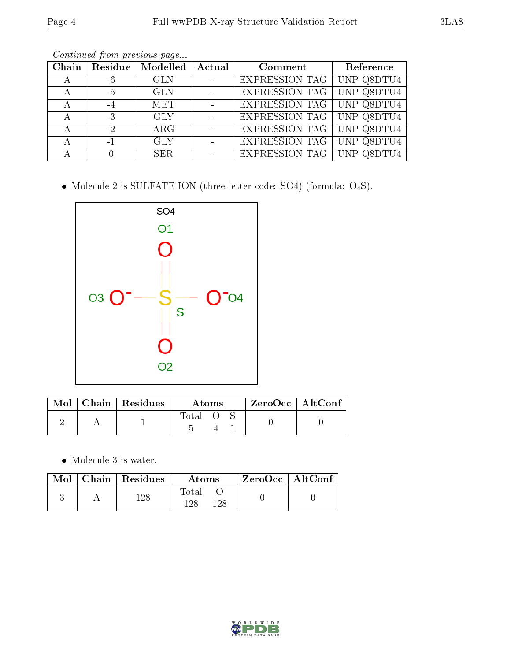|--|--|

| Chain |      | $\mid$ Residue $\mid$ Modelled $\mid$ | Actual | Comment                     | Reference  |
|-------|------|---------------------------------------|--------|-----------------------------|------------|
| А     | -6   | <b>GLN</b>                            |        | EXPRESSION TAG   UNP Q8DTU4 |            |
| А     | $-5$ | <b>GLN</b>                            |        | EXPRESSION TAG   UNP Q8DTU4 |            |
| А     |      | <b>MET</b>                            |        | EXPRESSION TAG   UNP Q8DTU4 |            |
| А     | $-3$ | <b>GLY</b>                            |        | EXPRESSION TAG   UNP Q8DTU4 |            |
|       | $-2$ | $\rm{ARG}$                            |        | EXPRESSION TAG   UNP Q8DTU4 |            |
|       | $-1$ | <b>GLY</b>                            |        | EXPRESSION TAG   UNP Q8DTU4 |            |
|       |      | <b>SER</b>                            |        | <b>EXPRESSION TAG</b>       | UNP Q8DTU4 |

Continued from previous page...

 $\bullet$  Molecule 2 is SULFATE ION (three-letter code: SO4) (formula:  $\mathrm{O}_4\mathrm{S}) .$ 



| Mol | $\mid$ Chain $\mid$ Residues | Atoms |  |  | $ZeroOcc \mid AltConf$ |  |
|-----|------------------------------|-------|--|--|------------------------|--|
|     |                              | Total |  |  |                        |  |

• Molecule 3 is water.

|  | $Mol$   Chain   Residues | Atoms                | ZeroOcc   AltConf |  |
|--|--------------------------|----------------------|-------------------|--|
|  | $128\,$                  | Total<br>128<br>1 28 |                   |  |

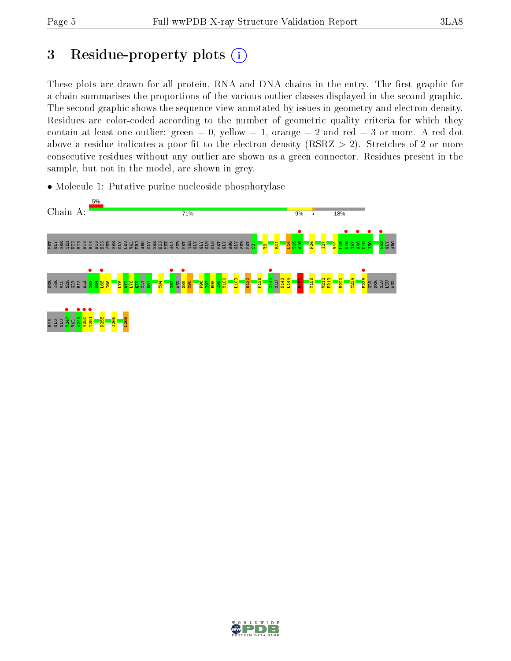# 3 Residue-property plots  $(i)$

These plots are drawn for all protein, RNA and DNA chains in the entry. The first graphic for a chain summarises the proportions of the various outlier classes displayed in the second graphic. The second graphic shows the sequence view annotated by issues in geometry and electron density. Residues are color-coded according to the number of geometric quality criteria for which they contain at least one outlier: green  $= 0$ , yellow  $= 1$ , orange  $= 2$  and red  $= 3$  or more. A red dot above a residue indicates a poor fit to the electron density (RSRZ  $> 2$ ). Stretches of 2 or more consecutive residues without any outlier are shown as a green connector. Residues present in the sample, but not in the model, are shown in grey.

• Molecule 1: Putative purine nucleoside phosphorylase



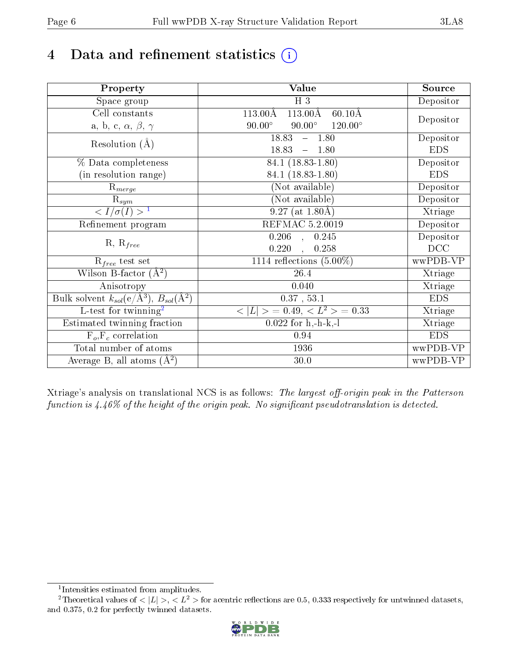# 4 Data and refinement statistics  $(i)$

| Property                                                             | Value                                                         | Source     |
|----------------------------------------------------------------------|---------------------------------------------------------------|------------|
| Space group                                                          | $H_3$                                                         | Depositor  |
| Cell constants                                                       | $113.00\text{\AA}$<br>$113.00\text{\AA}$<br>$60.10\text{\AA}$ |            |
| a, b, c, $\alpha$ , $\beta$ , $\gamma$                               | $90.00^\circ$<br>$90.00^\circ$<br>$120.00^\circ$              | Depositor  |
| Resolution $(A)$                                                     | 18.83<br>$-1.80$                                              | Depositor  |
|                                                                      | 18.83<br>1.80<br>$\equiv$                                     | <b>EDS</b> |
| % Data completeness                                                  | 84.1 (18.83-1.80)                                             | Depositor  |
| (in resolution range)                                                | 84.1 (18.83-1.80)                                             | <b>EDS</b> |
| $R_{merge}$                                                          | (Not available)                                               | Depositor  |
| $\mathrm{R}_{sym}$                                                   | (Not available)                                               | Depositor  |
| $\sqrt{I/\sigma(I)} > 1$                                             | $9.27$ (at 1.80Å)                                             | Xtriage    |
| Refinement program                                                   | <b>REFMAC 5.2.0019</b>                                        | Depositor  |
| $R, R_{free}$                                                        | $\overline{0.206}$ ,<br>0.245                                 | Depositor  |
|                                                                      | 0.220<br>0.258                                                | DCC        |
| $\mathcal{R}_{free}$ test set                                        | 1114 reflections $(5.00\%)$                                   | wwPDB-VP   |
| Wilson B-factor $(A^2)$                                              | 26.4                                                          | Xtriage    |
| Anisotropy                                                           | 0.040                                                         | Xtriage    |
| Bulk solvent $k_{sol}(e/\mathring{A}^3)$ , $B_{sol}(\mathring{A}^2)$ | $0.37$ , $53.1$                                               | <b>EDS</b> |
| L-test for twinning <sup>2</sup>                                     | $< L >$ = 0.49, $< L2$ = 0.33                                 | Xtriage    |
| Estimated twinning fraction                                          | $0.022$ for h,-h-k,-l                                         | Xtriage    |
| $F_o, F_c$ correlation                                               | 0.94                                                          | <b>EDS</b> |
| Total number of atoms                                                | 1936                                                          | wwPDB-VP   |
| Average B, all atoms $(A^2)$                                         | 30.0                                                          | wwPDB-VP   |

Xtriage's analysis on translational NCS is as follows: The largest off-origin peak in the Patterson function is  $4.46\%$  of the height of the origin peak. No significant pseudotranslation is detected.

<sup>&</sup>lt;sup>2</sup>Theoretical values of  $\langle |L| \rangle$ ,  $\langle L^2 \rangle$  for acentric reflections are 0.5, 0.333 respectively for untwinned datasets, and 0.375, 0.2 for perfectly twinned datasets.



<span id="page-5-1"></span><span id="page-5-0"></span><sup>1</sup> Intensities estimated from amplitudes.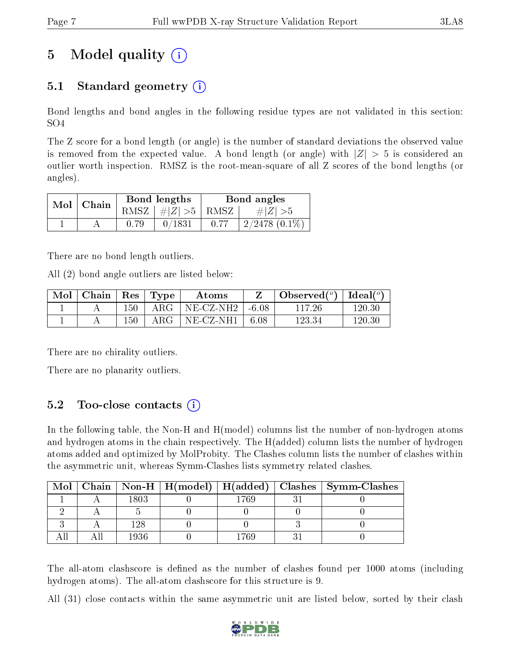# 5 Model quality  $(i)$

### 5.1 Standard geometry  $(i)$

Bond lengths and bond angles in the following residue types are not validated in this section: SO4

The Z score for a bond length (or angle) is the number of standard deviations the observed value is removed from the expected value. A bond length (or angle) with  $|Z| > 5$  is considered an outlier worth inspection. RMSZ is the root-mean-square of all Z scores of the bond lengths (or angles).

| Mol | Chain |      | Bond lengths                                | Bond angles |                    |  |
|-----|-------|------|---------------------------------------------|-------------|--------------------|--|
|     |       |      | RMSZ $\mid \#Z \mid >5$   RMSZ <sup>1</sup> |             | $\# Z  > 5$        |  |
|     |       | 0.79 | 0/1831                                      |             | $2/2478$ $(0.1\%)$ |  |

There are no bond length outliers.

All (2) bond angle outliers are listed below:

| $\bf{Mol}$ | $\vert$ Chain $\vert$ Res $\vert$ Type |     |              | Atoms                             |        | Observed( $^{\circ}$ )   Ideal( $^{\circ}$ ) |        |
|------------|----------------------------------------|-----|--------------|-----------------------------------|--------|----------------------------------------------|--------|
|            |                                        | 150 | $\rm{ARG}^-$ | $NE{\text -}CZ{\text -}NH2$ -6.08 |        | 117 26                                       | 120.30 |
|            |                                        | 150 | ARG-         | NE-CZ-NH1                         | - 6.08 | 123.34                                       | 120.30 |

There are no chirality outliers.

There are no planarity outliers.

### 5.2 Too-close contacts  $(i)$

In the following table, the Non-H and H(model) columns list the number of non-hydrogen atoms and hydrogen atoms in the chain respectively. The H(added) column lists the number of hydrogen atoms added and optimized by MolProbity. The Clashes column lists the number of clashes within the asymmetric unit, whereas Symm-Clashes lists symmetry related clashes.

| Mol |      |     | Chain   Non-H   H(model)   H(added)   Clashes   Symm-Clashes |
|-----|------|-----|--------------------------------------------------------------|
|     | 1803 | 769 |                                                              |
|     |      |     |                                                              |
|     |      |     |                                                              |
|     | 1936 | 769 |                                                              |

The all-atom clashscore is defined as the number of clashes found per 1000 atoms (including hydrogen atoms). The all-atom clashscore for this structure is 9.

All (31) close contacts within the same asymmetric unit are listed below, sorted by their clash

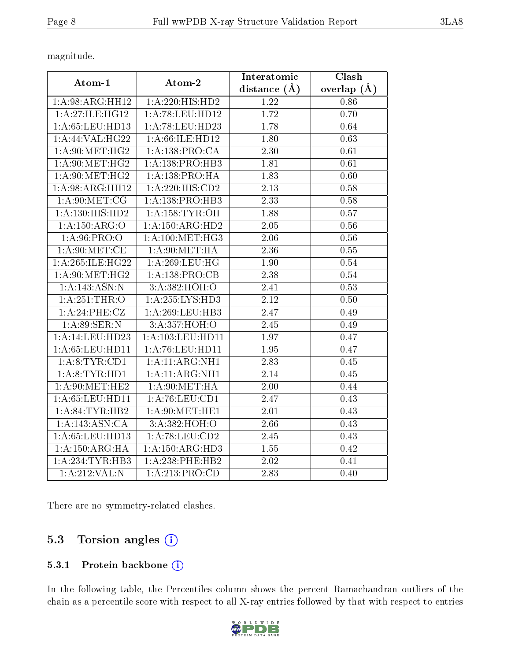magnitude.

| Atom-1              | Atom-2               | Interatomic       | Clash         |
|---------------------|----------------------|-------------------|---------------|
|                     |                      | distance $(A)$    | overlap $(A)$ |
| 1:A:98:ARG:HH12     | 1:A:220:HIS:HD2      | 1.22              | 0.86          |
| 1: A:27: ILE: HG12  | 1:A:78:LEU:HD12      | 1.72              | 0.70          |
| 1: A:65:LEU:HD13    | 1:A:78:LEU:HD23      | 1.78              | 0.64          |
| 1:A:44:VAL:HG22     | 1:A:66:ILE:HD12      | 1.80              | 0.63          |
| 1: A:90:MET:HG2     | 1: A: 138: PRO:CA    | 2.30              | 0.61          |
| 1: A:90:MET:HG2     | 1:A:138:PRO:HB3      | 1.81              | 0.61          |
| 1: A:90:MET:HG2     | 1:A:138:PRO:HA       | 1.83              | 0.60          |
| 1:A:98:ARG:HH12     | 1:A:220:HIS:CD2      | $\overline{2.13}$ | 0.58          |
| 1: A:90:MET:CG      | 1:A:138:PRO:HB3      | 2.33              | 0.58          |
| 1: A: 130: HIS: HD2 | 1: A: 158: TYR: OH   | 1.88              | 0.57          |
| 1:A:150:ARG:O       | 1: A:150:ARG:HD2     | 2.05              | 0.56          |
| 1:A:96:PRO:O        | 1:A:100:MET:HG3      | 2.06              | $0.56\,$      |
| 1: A:90:MET:CE      | 1: A:90:MET:HA       | 2.36              | 0.55          |
| 1: A:265: ILE:HG22  | 1: A:269:LEU:HG      | 1.90              | 0.54          |
| 1: A:90:MET:HG2     | 1:A:138:PRO:CB       | $\overline{2.38}$ | 0.54          |
| 1:A:143:ASN:N       | 3:A:382:HOH:O        | 2.41              | 0.53          |
| 1: A:251:THR:O      | 1:A:255:LYS:HD3      | 2.12              | 0.50          |
| 1:A:24:PHE:CZ       | 1: A:269:LEU:HB3     | 2.47              | 0.49          |
| 1: A:89: SER: N     | 3:A:357:HOH:O        | 2.45              | 0.49          |
| 1: A:14:LEU:HD23    | 1: A: 103: LEU: HD11 | 1.97              | 0.47          |
| 1: A:65:LEU:HD11    | 1: A:76:LEU:HD11     | 1.95              | 0.47          |
| 1: A:8:TYR:CD1      | 1:A:11:ARG:NH1       | $\overline{2.83}$ | 0.45          |
| 1:A:8:TYR:HDI       | 1: A:11: ARG:NH1     | 2.14              | 0.45          |
| 1: A:90:MET:HE2     | 1: A:90:MET:HA       | 2.00              | 0.44          |
| 1: A:65:LEU:HD11    | 1: A:76: LEU:CD1     | 2.47              | 0.43          |
| 1:A:84:TYR:HB2      | 1: A:90:MET:HE1      | 2.01              | 0.43          |
| 1:A:143:ASN:CA      | 3:A:382:HOH:O        | 2.66              | 0.43          |
| 1: A:65:LEU:HD13    | 1:A:78:LEU:CD2       | 2.45              | 0.43          |
| 1:A:150:ARG:HA      | 1: A:150:ARG:HD3     | 1.55              | 0.42          |
| 1: A:234:TYR:HB3    | $1: A:238:$ PHE:HB2  | 2.02              | 0.41          |
| 1:A:212:VAL:N       | 1:A:213:PRO:CD       | 2.83              | 0.40          |

There are no symmetry-related clashes.

### 5.3 Torsion angles (i)

#### 5.3.1 Protein backbone (i)

In the following table, the Percentiles column shows the percent Ramachandran outliers of the chain as a percentile score with respect to all X-ray entries followed by that with respect to entries

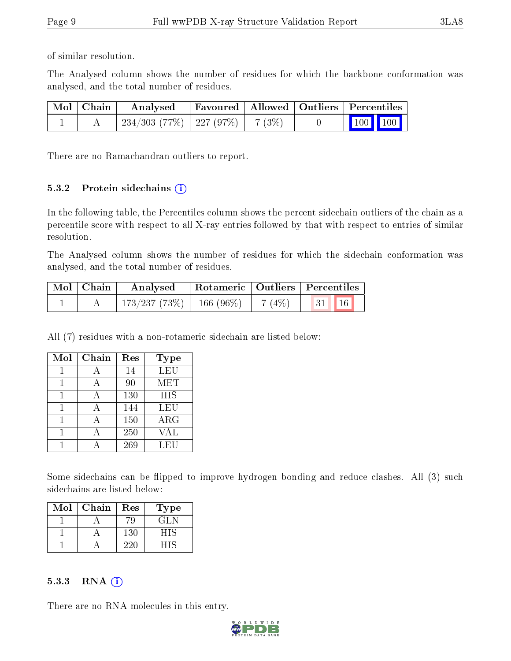of similar resolution.

The Analysed column shows the number of residues for which the backbone conformation was analysed, and the total number of residues.

| Mol   Chain | Analysed                                |  | Favoured   Allowed   Outliers   Percentiles                  |
|-------------|-----------------------------------------|--|--------------------------------------------------------------|
|             | $234/303$ (77\%)   227 (97\%)   7 (3\%) |  | $\begin{array}{ c c c c c }\n\hline\n100 & 100\n\end{array}$ |

There are no Ramachandran outliers to report.

#### 5.3.2 Protein sidechains  $(i)$

In the following table, the Percentiles column shows the percent sidechain outliers of the chain as a percentile score with respect to all X-ray entries followed by that with respect to entries of similar resolution.

The Analysed column shows the number of residues for which the sidechain conformation was analysed, and the total number of residues.

| Mol   Chain | Analysed     | $\perp$ Rotameric   Outliers   Percentiles |           |                                                                  |  |
|-------------|--------------|--------------------------------------------|-----------|------------------------------------------------------------------|--|
|             | 173/237(73%) | 166 $(96\%)$                               | $-7(4\%)$ | $\begin{array}{ c c c c c } \hline 31 & 16 \\\hline \end{array}$ |  |

All (7) residues with a non-rotameric sidechain are listed below:

| Mol | Chain        | Res | <b>Type</b> |
|-----|--------------|-----|-------------|
|     |              | 14  | <b>LEU</b>  |
|     | $\forall$    | 90  | MET         |
|     | $\mathsf{A}$ | 130 | <b>HIS</b>  |
|     |              | 144 | LEU         |
|     |              | 150 | ARG         |
|     |              | 250 | VAL         |
|     |              | 269 | LEU         |

Some sidechains can be flipped to improve hydrogen bonding and reduce clashes. All (3) such sidechains are listed below:

| Mol | Chain | Res | Type |
|-----|-------|-----|------|
|     |       |     | GLN  |
|     |       | 130 | - 11 |
|     |       | ソソロ |      |

#### $5.3.3$  RNA  $(i)$

There are no RNA molecules in this entry.

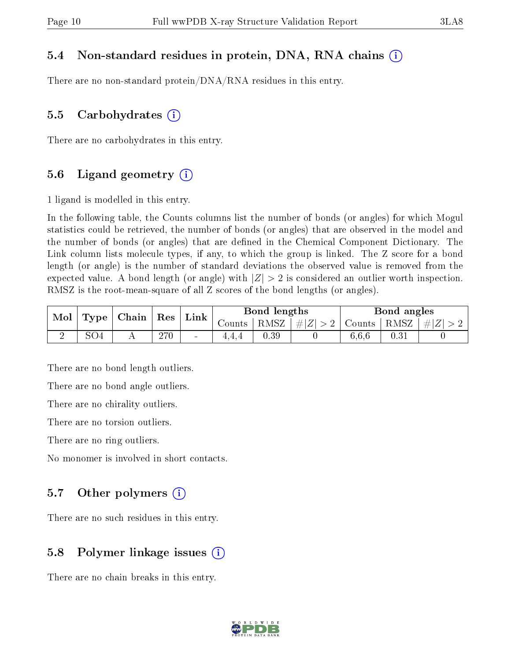#### 5.4 Non-standard residues in protein, DNA, RNA chains (i)

There are no non-standard protein/DNA/RNA residues in this entry.

#### 5.5 Carbohydrates  $(i)$

There are no carbohydrates in this entry.

#### 5.6 Ligand geometry  $(i)$

1 ligand is modelled in this entry.

In the following table, the Counts columns list the number of bonds (or angles) for which Mogul statistics could be retrieved, the number of bonds (or angles) that are observed in the model and the number of bonds (or angles) that are dened in the Chemical Component Dictionary. The Link column lists molecule types, if any, to which the group is linked. The Z score for a bond length (or angle) is the number of standard deviations the observed value is removed from the expected value. A bond length (or angle) with  $|Z| > 2$  is considered an outlier worth inspection. RMSZ is the root-mean-square of all Z scores of the bond lengths (or angles).

| Mol |                 | $Type \mid Chain \mid$ | $\perp$ Res | Link                     |                      | Bond lengths |             |        | Bond angles |               |
|-----|-----------------|------------------------|-------------|--------------------------|----------------------|--------------|-------------|--------|-------------|---------------|
|     |                 |                        |             |                          | $\sim$ ounts $\perp$ | RMSZ         | $\# Z  > 2$ | Counts | RMSZ        | $T +  Z  > 1$ |
|     | SO <sub>4</sub> |                        | 270         | $\overline{\phantom{a}}$ |                      | 0.39         |             | 6.6.6  | 0.31        |               |

There are no bond length outliers.

There are no bond angle outliers.

There are no chirality outliers.

There are no torsion outliers.

There are no ring outliers.

No monomer is involved in short contacts.

#### 5.7 [O](https://www.wwpdb.org/validation/2017/XrayValidationReportHelp#nonstandard_residues_and_ligands)ther polymers  $(i)$

There are no such residues in this entry.

#### 5.8 Polymer linkage issues  $(i)$

There are no chain breaks in this entry.

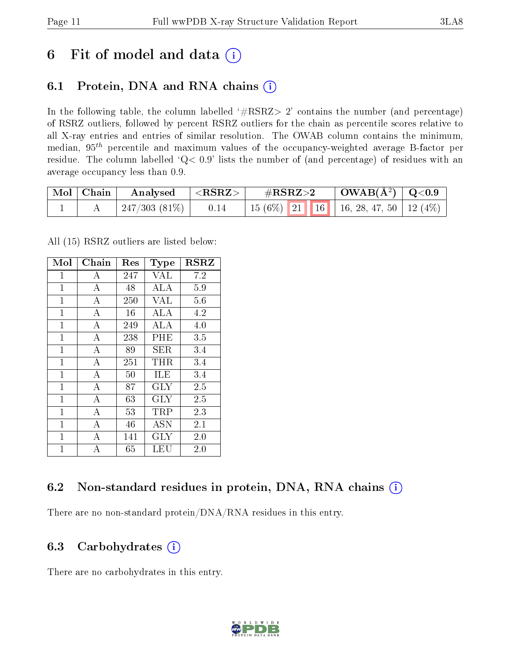### 6 Fit of model and data  $(i)$

### 6.1 Protein, DNA and RNA chains  $(i)$

In the following table, the column labelled  $#RSRZ> 2'$  contains the number (and percentage) of RSRZ outliers, followed by percent RSRZ outliers for the chain as percentile scores relative to all X-ray entries and entries of similar resolution. The OWAB column contains the minimum, median,  $95<sup>th</sup>$  percentile and maximum values of the occupancy-weighted average B-factor per residue. The column labelled ' $Q< 0.9$ ' lists the number of (and percentage) of residues with an average occupancy less than 0.9.

| $\mid$ Mol $\mid$ Chain | Analysed $ \langle \text{RSRZ}\rangle $ |      | $\#\mathrm{RSRZ}{>}2$ |  | $\mid$ OWAB(Å <sup>2</sup> ) $\mid$ Q<0.9 $\mid$ |                                              |  |
|-------------------------|-----------------------------------------|------|-----------------------|--|--------------------------------------------------|----------------------------------------------|--|
|                         | 247/303 (81%)                           | 0.14 |                       |  |                                                  | 15 (6%)   21   16   16, 28, 47, 50   12 (4%) |  |

All (15) RSRZ outliers are listed below:

| Mol            | Chain          | $\operatorname{Res}% \left( \mathcal{N}\right) \equiv\operatorname{Res}(\mathcal{N}_{0},\mathcal{N}_{0})$ | Type       | <b>RSRZ</b> |
|----------------|----------------|-----------------------------------------------------------------------------------------------------------|------------|-------------|
| $\mathbf{1}$   | А              | 247                                                                                                       | <b>VAL</b> | 7.2         |
| $\mathbf{1}$   | $\bf{A}$       | 48                                                                                                        | <b>ALA</b> | 5.9         |
| $\mathbf{1}$   | $\overline{A}$ | 250                                                                                                       | <b>VAL</b> | 5.6         |
| $\mathbf{1}$   | А              | 16                                                                                                        | ALA        | 4.2         |
| $\mathbf{1}$   | А              | 249                                                                                                       | ALA        | 4.0         |
| $\mathbf{1}$   | А              | 238                                                                                                       | PHE        | 3.5         |
| $\mathbf{1}$   | А              | 89                                                                                                        | SER.       | 3.4         |
| $\mathbf{1}$   | А              | 251                                                                                                       | THR        | 3.4         |
| $\overline{1}$ | $\overline{A}$ | 50                                                                                                        | ILE        | 3.4         |
| $\mathbf{1}$   | А              | 87                                                                                                        | <b>GLY</b> | 2.5         |
| $\overline{1}$ | $\bf{A}$       | 63                                                                                                        | GLY        | 2.5         |
| $\overline{1}$ | $\overline{A}$ | 53                                                                                                        | TRP        | 2.3         |
| $\mathbf{1}$   | А              | 46                                                                                                        | <b>ASN</b> | 2.1         |
| $\mathbf{1}$   | $\overline{A}$ | 141                                                                                                       | GLY        | 2.0         |
| $\overline{1}$ | A              | 65                                                                                                        | LEU        | 2.0         |

### 6.2 Non-standard residues in protein, DNA, RNA chains (i)

There are no non-standard protein/DNA/RNA residues in this entry.

#### 6.3 Carbohydrates  $(i)$

There are no carbohydrates in this entry.